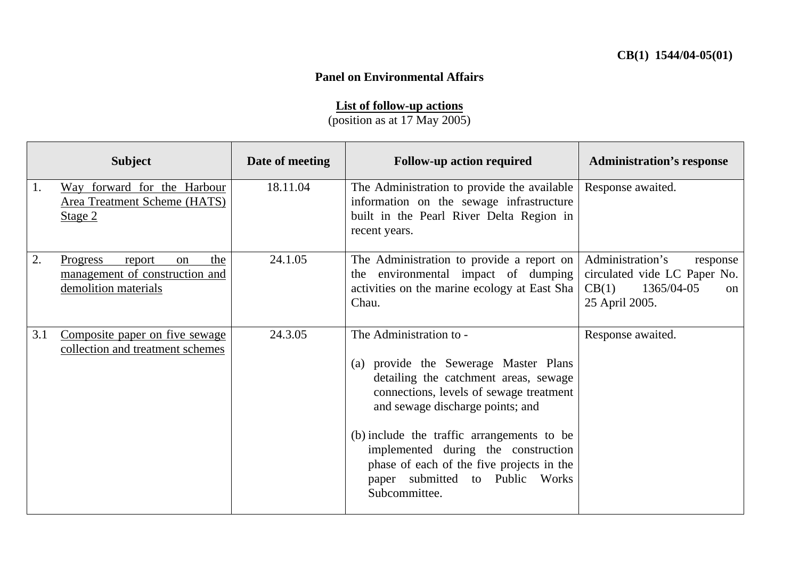## **Panel on Environmental Affairs**

## **List of follow-up actions**

(position as at 17 May 2005)

|     | <b>Subject</b>                                                                                   | Date of meeting | <b>Follow-up action required</b>                                                                                                                                                                                                                                                                                                                                               | <b>Administration's response</b>                                                                            |
|-----|--------------------------------------------------------------------------------------------------|-----------------|--------------------------------------------------------------------------------------------------------------------------------------------------------------------------------------------------------------------------------------------------------------------------------------------------------------------------------------------------------------------------------|-------------------------------------------------------------------------------------------------------------|
| 1.  | Way forward for the Harbour<br>Area Treatment Scheme (HATS)<br>Stage 2                           | 18.11.04        | The Administration to provide the available<br>information on the sewage infrastructure<br>built in the Pearl River Delta Region in<br>recent years.                                                                                                                                                                                                                           | Response awaited.                                                                                           |
| 2.  | <b>Progress</b><br>the<br>report<br>on<br>management of construction and<br>demolition materials | 24.1.05         | The Administration to provide a report on<br>the environmental impact of dumping<br>activities on the marine ecology at East Sha<br>Chau.                                                                                                                                                                                                                                      | Administration's<br>response<br>circulated vide LC Paper No.<br>1365/04-05<br>CB(1)<br>on<br>25 April 2005. |
| 3.1 | Composite paper on five sewage<br>collection and treatment schemes                               | 24.3.05         | The Administration to -<br>(a) provide the Sewerage Master Plans<br>detailing the catchment areas, sewage<br>connections, levels of sewage treatment<br>and sewage discharge points; and<br>(b) include the traffic arrangements to be<br>implemented during the construction<br>phase of each of the five projects in the<br>paper submitted to Public Works<br>Subcommittee. | Response awaited.                                                                                           |